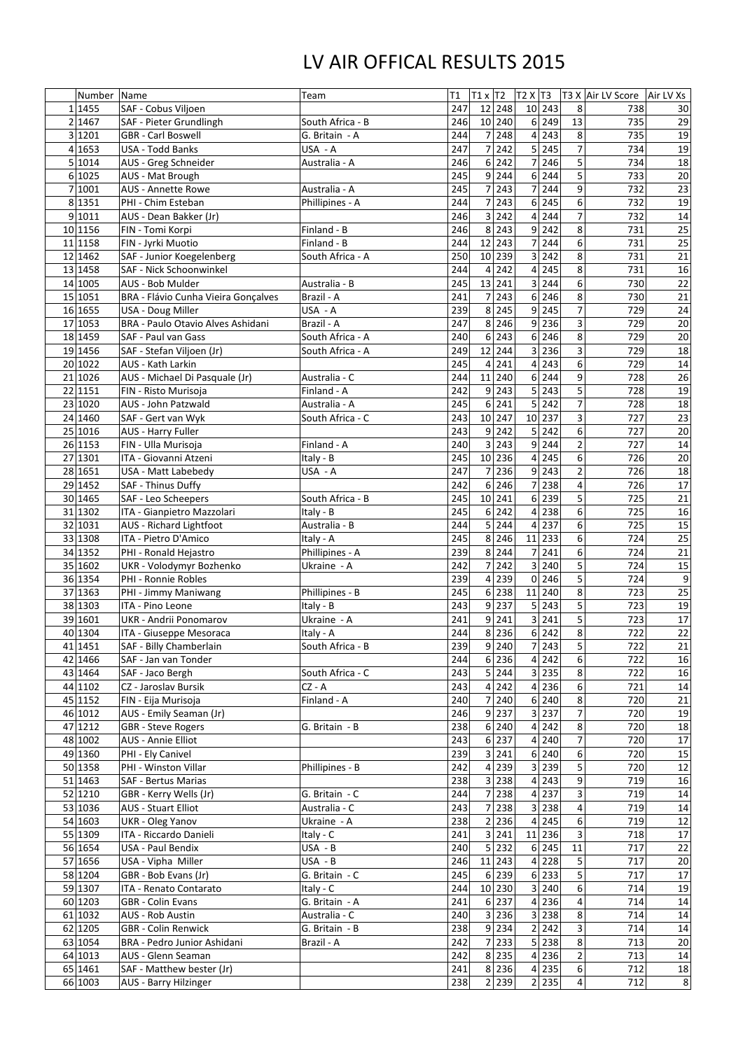## LV AIR OFFICAL RESULTS 2015

|                | Number             | Name                                                   | Team             | T1         | $T1 \times T2$        | $T2 \times T3$   |       |                | T3 X Air LV Score | Air LV Xs       |
|----------------|--------------------|--------------------------------------------------------|------------------|------------|-----------------------|------------------|-------|----------------|-------------------|-----------------|
|                | 1455               | SAF - Cobus Viljoen                                    |                  | 247        | 248<br>12             | 10               | 243   | 8              | 738               | 30              |
| $\overline{2}$ | 1467               | SAF - Pieter Grundlingh                                | South Africa - B | 246        | 240<br>10             | $6 \overline{6}$ | 249   | 13             | 735               | 29              |
|                | 3 1201             | <b>GBR</b> - Carl Boswell                              | G. Britain - A   | 244        | 248                   | 4                | 243   | 8              | 735               | 19              |
|                | 4 1653             | <b>USA - Todd Banks</b>                                | USA - A          | 247        | 242                   | $\overline{5}$   | 245   | $\overline{7}$ | 734               | 19              |
|                | 5 1014             | AUS - Greg Schneider                                   | Australia - A    | 246        | 242<br>6              | 7                | 246   | 5              | 734               | 18              |
|                | 6 1025             | AUS - Mat Brough                                       |                  | 245        | 9<br>244              | 6 <sup>1</sup>   | 244   | 5              | 733               | 20              |
|                | 7 1001             | <b>AUS - Annette Rowe</b>                              | Australia - A    | 245        | 243                   | 7                | 244   | $\overline{9}$ | 732               | 23              |
|                | 8 1351             | PHI - Chim Esteban                                     | Phillipines - A  | 244        | 243                   | 6                | 245   | 6              | 732               | 19              |
|                | 9 1011             | AUS - Dean Bakker (Jr)                                 |                  | 246        | 242<br>3              | 4                | 244   | $\overline{7}$ | 732               | 14              |
|                | 10 1156            | FIN - Tomi Korpi                                       | Finland - B      | 246        | 243<br>8              | $\overline{9}$   | 242   | 8              | 731               | 25              |
|                | 11 1158            | FIN - Jyrki Muotio                                     | Finland - B      | 244        | 243<br>12             | $\overline{7}$   | 244   | 6 <sup>1</sup> | 731               | 25              |
|                | 12 1462            | SAF - Junior Koegelenberg                              | South Africa - A | 250        | 239<br>10             | 3                | 242   | 8              | 731               |                 |
|                | 13 1458            | SAF - Nick Schoonwinkel                                |                  | 244        | 242<br>Δ              | 4                | 245   | 8              | 731               | $\frac{21}{16}$ |
|                | 14 1005            | AUS - Bob Mulder                                       | Australia - B    | 245        | 13<br>241             | 3                | 244   | $6\vert$       | 730               | $\overline{22}$ |
|                | 15 1051            | BRA - Flávio Cunha Vieira Gonçalves                    | Brazil - A       | 241        | 243                   | 6 <sup>1</sup>   | 246   | 8              | 730               | 21              |
|                | 16 1655            | USA - Doug Miller                                      | USA - A          | 239        | 8 <sup>1</sup><br>245 | 9                | 245   | 7              | 729               | 24              |
|                | 17 1053            | <b>BRA - Paulo Otavio Alves Ashidani</b>               | Brazil - A       | 247        | 246<br>8              | $\overline{9}$   | 236   | 3              | 729               | 20              |
|                | 18 1459            | SAF - Paul van Gass                                    | South Africa - A | 240        | 243<br>6              | 6                | 246   | 8              | 729               | 20              |
|                | 19 1456            | SAF - Stefan Viljoen (Jr)                              | South Africa - A | 249        | 12<br>244             | 3                | 236   | 3              | 729               | 18              |
|                | 20 1022            | AUS - Kath Larkin                                      |                  | 245        | 241<br>4              | 4                | 243   | 6              | 729               | 14              |
|                | 21 1026            | AUS - Michael Di Pasquale (Jr)                         | Australia - C    | 244        | 11<br>240             | 6                | 244   | $\overline{9}$ | 728               | 26              |
|                | 22 1151            | FIN - Risto Murisoja                                   | Finland - A      | 242        | 243<br>9              | 5                | 243   | 5              | 728               | 19              |
|                | 23 1020            | <b>AUS - John Patzwald</b>                             | Australia - A    | 245        | 241<br>6              | 5                | 242   | $\overline{7}$ | 728               | 18              |
|                | 24 1460            | SAF - Gert van Wyk                                     | South Africa - C | 243        | 10<br>247             | 10               | 237   | 3              | 727               | 23              |
|                | 25 1016            | <b>AUS - Harry Fuller</b>                              |                  | 243        | 242<br>9              | 5                | 242   | $6\vert$       | 727               | $\overline{20}$ |
|                | 26 1153            | FIN - Ulla Murisoja                                    | Finland - A      | 240        | 243<br>3              | 9                | 244   | $\overline{2}$ | 727               | 14              |
|                | 27 1301            | ITA - Giovanni Atzeni                                  | Italy - B        | 245        | 10<br>236             | 4                | 245   | 6 <sup>1</sup> | 726               | $\overline{20}$ |
|                | 28 1651            | USA - Matt Labebedy                                    | USA - A          | 247        | 236                   | $\overline{9}$   | 243   | $\overline{2}$ | 726               | 18              |
|                | 29 1452            | <b>SAF - Thinus Duffy</b>                              |                  | 242        | 6 <sup>1</sup><br>246 | 71               | 238   | 4              | 726               | 17              |
|                | 30 1465            | SAF - Leo Scheepers                                    | South Africa - B | 245        | 10 241                | 6 <sup>1</sup>   | 239   | 5              | 725               | 21              |
|                | 31 1302            | ITA - Gianpietro Mazzolari                             | Italy - B        | 245        | 242<br>6              | 4                | 238   | 6 <sup>1</sup> | 725               | 16              |
|                | 32 1031            | <b>AUS</b> - Richard Lightfoot                         | Australia - B    | 244        | 244                   | 4                | 237   | 6              | 725               | 15              |
|                | 33 1308            | ITA - Pietro D'Amico                                   | Italy - A        | 245        | 246<br>8              | 11               | 233   | 6              | 724               | 25              |
|                | 34 1352            | PHI - Ronald Hejastro                                  | Phillipines - A  | 239        | 244<br>8              | $\overline{7}$   | 241   | 6 <sup>1</sup> | 724               | 21              |
|                | 35 1602            | UKR - Volodymyr Bozhenko                               | Ukraine - A      | 242        | 242                   | 3                | 240   | 5              | 724               | 15              |
|                | 36 1354            | PHI - Ronnie Robles                                    |                  | 239        | 239                   | $\overline{0}$   | 246   | 5              | 724               | 9               |
|                | 37 1363            | PHI - Jimmy Maniwang                                   | Phillipines - B  | 245        | 238<br>6              | 11               | 240   | 8              | 723               | 25              |
|                | 38 1303            | ITA - Pino Leone                                       | Italy - B        | 243        | 237<br>q              | 5                | 243   | 5              | 723               | 19              |
|                | 39 1601            | <b>UKR</b> - Andrii Ponomarov                          | Ukraine - A      | 241        | 9<br>241              | 3                | 241   | 5              | 723               | 17              |
|                | 40 1304            | ITA - Giuseppe Mesoraca                                | Italy - A        | 244        | 8 <sup>1</sup><br>236 | 6 <sup>1</sup>   | 242   | 8              | 722               | $\overline{22}$ |
|                | 41 1451            | SAF - Billy Chamberlain                                | South Africa - B | 239        | 9<br>240              | $\overline{7}$   | 243   | 5              | 722               | 21              |
|                | 42 1466            | SAF - Jan van Tonder                                   |                  | 244        | 236<br>6              | 4                | 242   | 6 <sup>1</sup> | 722               | 16              |
|                | 43 1464            | SAF - Jaco Bergh                                       | South Africa - C | 243        | 5.<br>244             | $\overline{3}$   | 235   | 8 <sup>1</sup> | 722               | 16              |
|                | 44 1102            | CZ - Jaroslav Bursik                                   | $CZ - A$         | 243        | 242<br>Δ              | 4                | 236   | $6\vert$       | 721               | 14              |
|                | 45 1152            |                                                        | Finland - A      | 240        | 240                   | 6                | 240   | 8              | 720               | 21              |
|                |                    | FIN - Eija Murisoja                                    |                  |            | q                     | 3                | 237   | $\overline{7}$ |                   |                 |
|                | 46 1012<br>47 1212 | AUS - Emily Seaman (Jr)                                | G. Britain - B   | 246<br>238 | 237<br>240<br>6       | 4                | 242   | 8              | 720<br>720        | 19<br>18        |
|                | 48 1002            | <b>GBR</b> - Steve Rogers<br><b>AUS - Annie Elliot</b> |                  | 243        | 237                   | 4                | 240   | 7              | 720               | 17              |
|                | 49 1360            |                                                        |                  | 239        | 6<br>241              | 6                | 240   | 6 <sup>1</sup> | 720               | 15              |
|                | 50 1358            | PHI - Ely Canivel<br>PHI - Winston Villar              | Phillipines - B  | 242        | 239                   | $\overline{3}$   | 239   | 5              | 720               | 12              |
|                |                    | <b>SAF - Bertus Marias</b>                             |                  | 238        | 238<br>3              | 4                | 243   | 9              | 719               | 16              |
|                | 51 1463<br>52 1210 |                                                        | G. Britain - C   | 244        | 238                   | 4                | 237   | 3              | 719               |                 |
|                | 53 1036            | GBR - Kerry Wells (Jr)<br><b>AUS - Stuart Elliot</b>   | Australia - C    | 243        | 238                   | 3                | 238   | 4              | 719               | 14<br>14        |
|                |                    |                                                        |                  |            |                       |                  |       |                |                   |                 |
|                | 54 1603            | <b>UKR</b> - Oleg Yanov                                | Ukraine - A      | 238        | 236                   | 4                | 245   | $6 \mid$       | 719               | 12              |
|                | 55 1309            | ITA - Riccardo Danieli                                 | Italy - C        | 241        | 241                   | 11               | 236   | $\overline{3}$ | 718               | 17              |
|                | 56 1654            | <b>USA - Paul Bendix</b>                               | USA - B          | 240        | 232<br>5              | $6\vert$         | 245   | 11             | 717               | 22              |
|                | 57 1656            | USA - Vipha Miller                                     | USA - B          | 246        | 11<br>243             | 4                | 228   | 5              | 717               | 20              |
|                | 58 1204            | GBR - Bob Evans (Jr)                                   | G. Britain - C   | 245        | 239<br>6              | 61               | 233   | 5              | 717               | 17              |
|                | 59 1307            | ITA - Renato Contarato                                 | Italy - C        | 244        | 10 230                |                  | 3 240 | $6 \mid$       | 714               | 19              |
|                | 60 1203            | <b>GBR</b> - Colin Evans                               | G. Britain - A   | 241        | 237<br>6              | 4                | 236   | 4              | 714               | 14              |
|                | 61 1032            | <b>AUS - Rob Austin</b>                                | Australia - C    | 240        | 236<br>31             | $\overline{3}$   | 238   | 8              | 714               | 14              |
|                | 62 1205            | <b>GBR</b> - Colin Renwick                             | G. Britain - B   | 238        | 234<br>9              | $\overline{2}$   | 242   | 3              | 714               | 14              |
|                | 63 1054            | <b>BRA - Pedro Junior Ashidani</b>                     | Brazil - A       | 242        | 233                   | 5 <sup>1</sup>   | 238   | 8 <sup>1</sup> | 713               | 20              |
|                | 64 1013            | AUS - Glenn Seaman                                     |                  | 242        | 8 235                 | 4                | 236   | $\overline{2}$ | 713               | 14              |
|                | 65 1461            | SAF - Matthew bester (Jr)                              |                  | 241        | $8$   236             | $\vert 4 \vert$  | 235   | $6 \mid$       | 712               | 18              |
|                | 66 1003            | <b>AUS - Barry Hilzinger</b>                           |                  | 238        | 2 2 3 9               |                  | 2 235 | 4              | 712               | 8               |